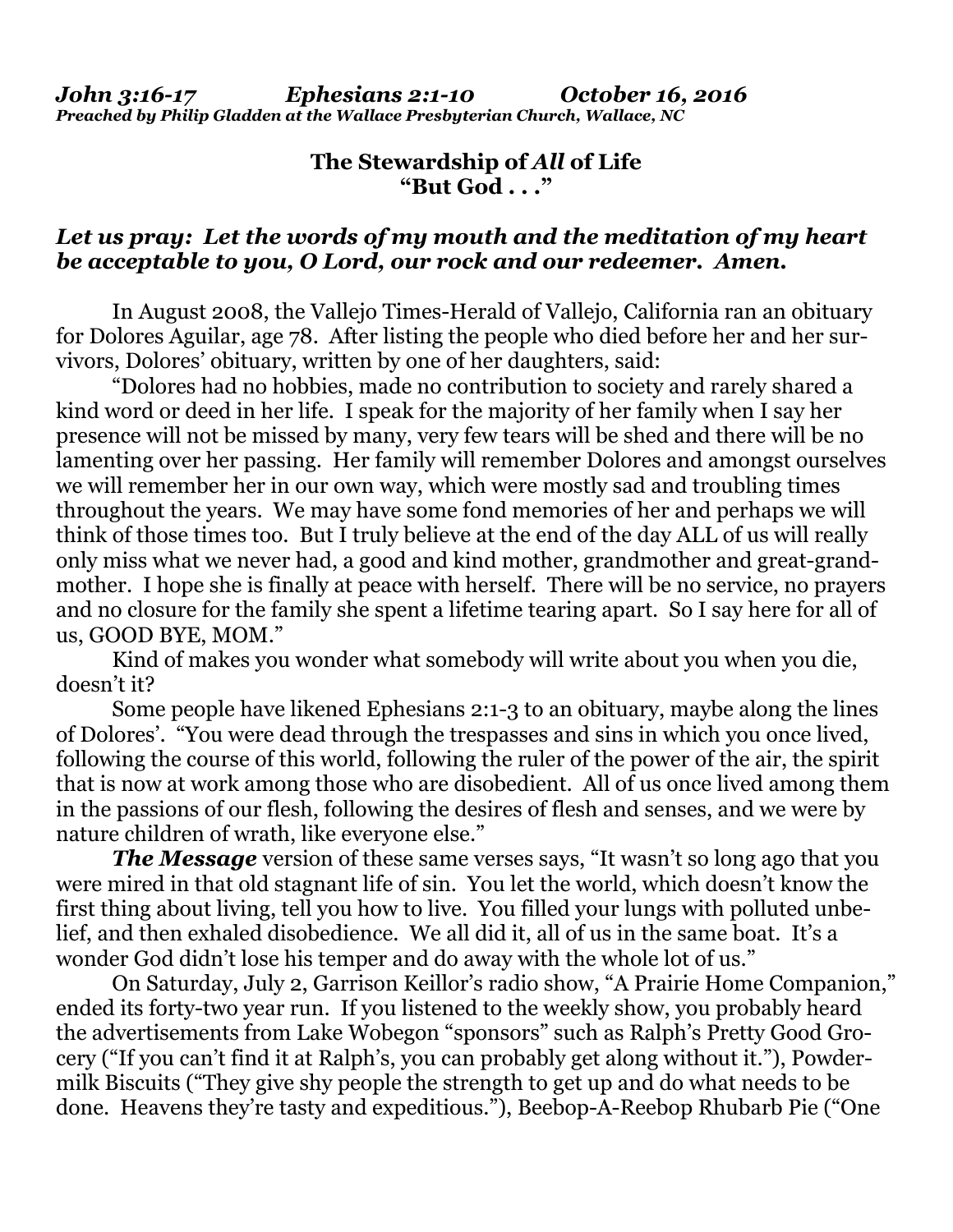## **The Stewardship of** *All* **of Life "But God . . ."**

## *Let us pray: Let the words of my mouth and the meditation of my heart be acceptable to you, O Lord, our rock and our redeemer. Amen.*

In August 2008, the Vallejo Times-Herald of Vallejo, California ran an obituary for Dolores Aguilar, age 78. After listing the people who died before her and her survivors, Dolores' obituary, written by one of her daughters, said:

 "Dolores had no hobbies, made no contribution to society and rarely shared a kind word or deed in her life. I speak for the majority of her family when I say her presence will not be missed by many, very few tears will be shed and there will be no lamenting over her passing. Her family will remember Dolores and amongst ourselves we will remember her in our own way, which were mostly sad and troubling times throughout the years. We may have some fond memories of her and perhaps we will think of those times too. But I truly believe at the end of the day ALL of us will really only miss what we never had, a good and kind mother, grandmother and great-grandmother. I hope she is finally at peace with herself. There will be no service, no prayers and no closure for the family she spent a lifetime tearing apart. So I say here for all of us, GOOD BYE, MOM."

 Kind of makes you wonder what somebody will write about you when you die, doesn't it?

 Some people have likened Ephesians 2:1-3 to an obituary, maybe along the lines of Dolores'. "You were dead through the trespasses and sins in which you once lived, following the course of this world, following the ruler of the power of the air, the spirit that is now at work among those who are disobedient. All of us once lived among them in the passions of our flesh, following the desires of flesh and senses, and we were by nature children of wrath, like everyone else."

*The Message* version of these same verses says, "It wasn't so long ago that you were mired in that old stagnant life of sin. You let the world, which doesn't know the first thing about living, tell you how to live. You filled your lungs with polluted unbelief, and then exhaled disobedience. We all did it, all of us in the same boat. It's a wonder God didn't lose his temper and do away with the whole lot of us."

 On Saturday, July 2, Garrison Keillor's radio show, "A Prairie Home Companion," ended its forty-two year run. If you listened to the weekly show, you probably heard the advertisements from Lake Wobegon "sponsors" such as Ralph's Pretty Good Grocery ("If you can't find it at Ralph's, you can probably get along without it."), Powdermilk Biscuits ("They give shy people the strength to get up and do what needs to be done. Heavens they're tasty and expeditious."), Beebop-A-Reebop Rhubarb Pie ("One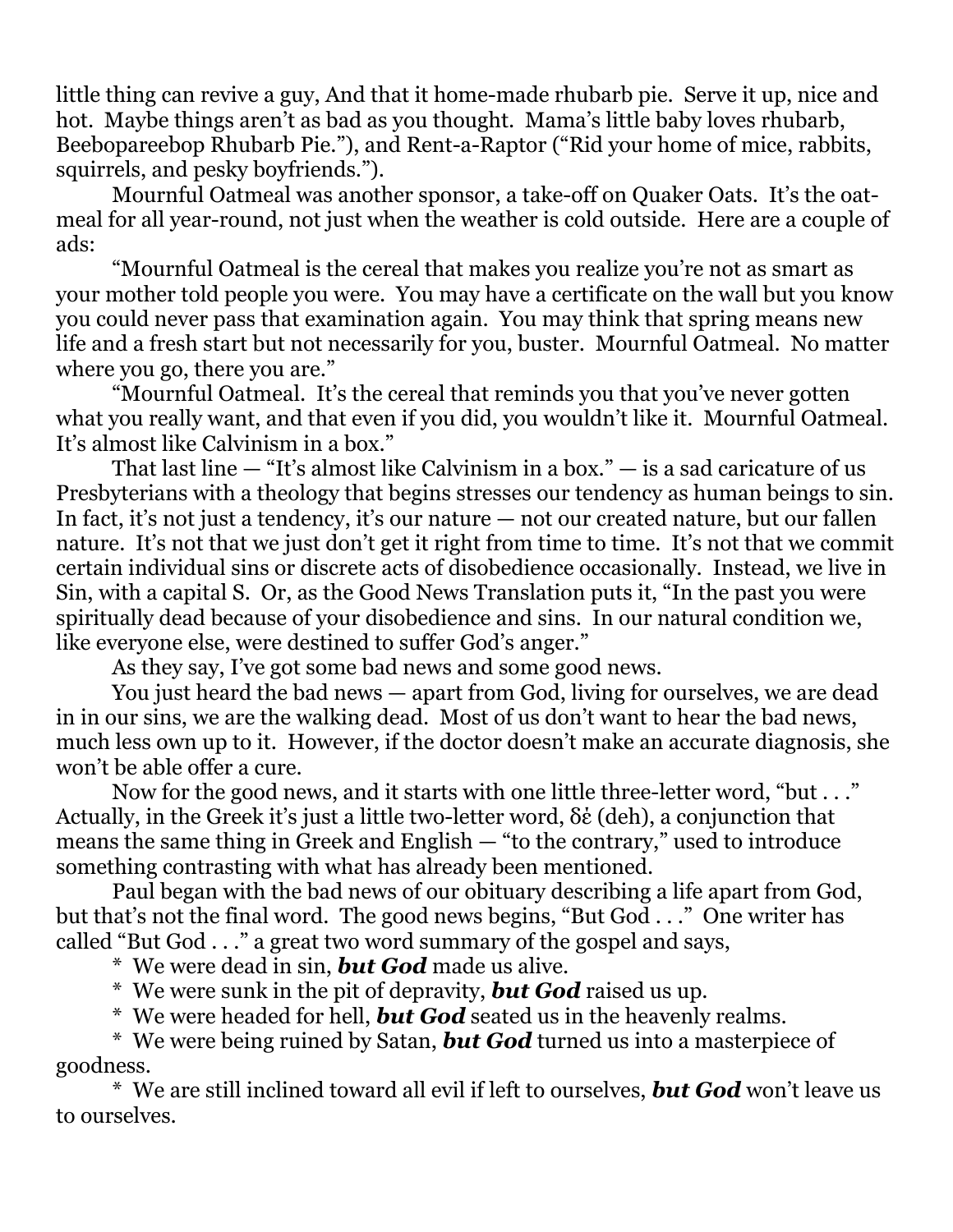little thing can revive a guy, And that it home-made rhubarb pie. Serve it up, nice and hot. Maybe things aren't as bad as you thought. Mama's little baby loves rhubarb, Beebopareebop Rhubarb Pie."), and Rent-a-Raptor ("Rid your home of mice, rabbits, squirrels, and pesky boyfriends.").

 Mournful Oatmeal was another sponsor, a take-off on Quaker Oats. It's the oatmeal for all year-round, not just when the weather is cold outside. Here are a couple of ads:

 "Mournful Oatmeal is the cereal that makes you realize you're not as smart as your mother told people you were. You may have a certificate on the wall but you know you could never pass that examination again. You may think that spring means new life and a fresh start but not necessarily for you, buster. Mournful Oatmeal. No matter where you go, there you are."

 "Mournful Oatmeal. It's the cereal that reminds you that you've never gotten what you really want, and that even if you did, you wouldn't like it. Mournful Oatmeal. It's almost like Calvinism in a box."

 That last line — "It's almost like Calvinism in a box." — is a sad caricature of us Presbyterians with a theology that begins stresses our tendency as human beings to sin. In fact, it's not just a tendency, it's our nature — not our created nature, but our fallen nature. It's not that we just don't get it right from time to time. It's not that we commit certain individual sins or discrete acts of disobedience occasionally. Instead, we live in Sin, with a capital S. Or, as the Good News Translation puts it, "In the past you were spiritually dead because of your disobedience and sins. In our natural condition we, like everyone else, were destined to suffer God's anger."

As they say, I've got some bad news and some good news.

 You just heard the bad news — apart from God, living for ourselves, we are dead in in our sins, we are the walking dead. Most of us don't want to hear the bad news, much less own up to it. However, if the doctor doesn't make an accurate diagnosis, she won't be able offer a cure.

 Now for the good news, and it starts with one little three-letter word, "but . . ." Actually, in the Greek it's just a little two-letter word, δέ (deh), a conjunction that means the same thing in Greek and English — "to the contrary," used to introduce something contrasting with what has already been mentioned.

 Paul began with the bad news of our obituary describing a life apart from God, but that's not the final word. The good news begins, "But God . . ." One writer has called "But God . . ." a great two word summary of the gospel and says,

\* We were dead in sin, *but God* made us alive.

\* We were sunk in the pit of depravity, *but God* raised us up.

\* We were headed for hell, *but God* seated us in the heavenly realms.

 \* We were being ruined by Satan, *but God* turned us into a masterpiece of goodness.

 \* We are still inclined toward all evil if left to ourselves, *but God* won't leave us to ourselves.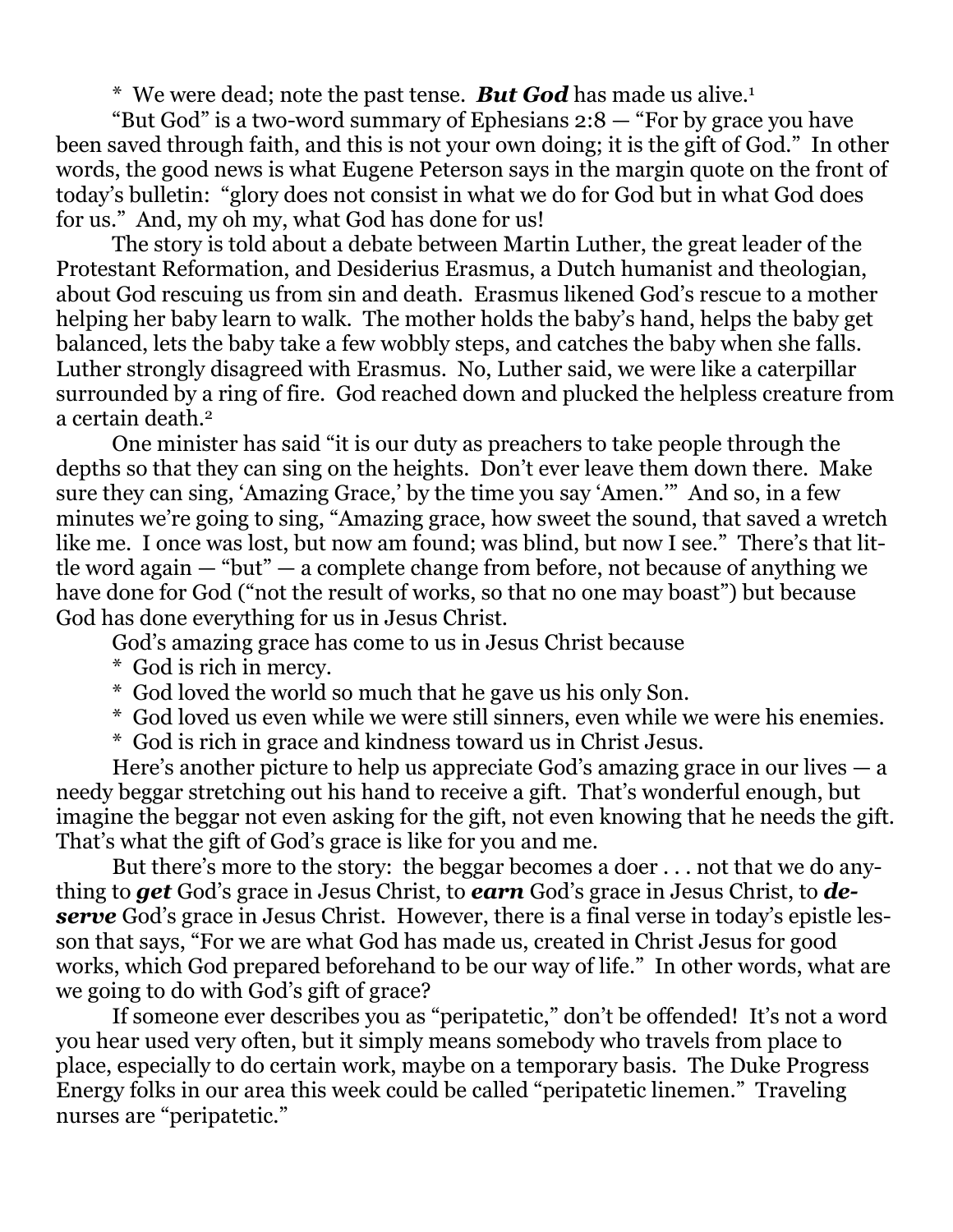\* We were dead; note the past tense. *But God* has made us alive.1

 "But God" is a two-word summary of Ephesians 2:8 — "For by grace you have been saved through faith, and this is not your own doing; it is the gift of God." In other words, the good news is what Eugene Peterson says in the margin quote on the front of today's bulletin: "glory does not consist in what we do for God but in what God does for us." And, my oh my, what God has done for us!

 The story is told about a debate between Martin Luther, the great leader of the Protestant Reformation, and Desiderius Erasmus, a Dutch humanist and theologian, about God rescuing us from sin and death. Erasmus likened God's rescue to a mother helping her baby learn to walk. The mother holds the baby's hand, helps the baby get balanced, lets the baby take a few wobbly steps, and catches the baby when she falls. Luther strongly disagreed with Erasmus. No, Luther said, we were like a caterpillar surrounded by a ring of fire. God reached down and plucked the helpless creature from a certain death.<sup>2</sup>

 One minister has said "it is our duty as preachers to take people through the depths so that they can sing on the heights. Don't ever leave them down there. Make sure they can sing, 'Amazing Grace,' by the time you say 'Amen.'" And so, in a few minutes we're going to sing, "Amazing grace, how sweet the sound, that saved a wretch like me. I once was lost, but now am found; was blind, but now I see." There's that little word again — "but" — a complete change from before, not because of anything we have done for God ("not the result of works, so that no one may boast") but because God has done everything for us in Jesus Christ.

God's amazing grace has come to us in Jesus Christ because

- \* God is rich in mercy.
- \* God loved the world so much that he gave us his only Son.
- \* God loved us even while we were still sinners, even while we were his enemies.
- \* God is rich in grace and kindness toward us in Christ Jesus.

 Here's another picture to help us appreciate God's amazing grace in our lives — a needy beggar stretching out his hand to receive a gift. That's wonderful enough, but imagine the beggar not even asking for the gift, not even knowing that he needs the gift. That's what the gift of God's grace is like for you and me.

 But there's more to the story: the beggar becomes a doer . . . not that we do anything to *get* God's grace in Jesus Christ, to *earn* God's grace in Jesus Christ, to *de***serve** God's grace in Jesus Christ. However, there is a final verse in today's epistle lesson that says, "For we are what God has made us, created in Christ Jesus for good works, which God prepared beforehand to be our way of life." In other words, what are we going to do with God's gift of grace?

 If someone ever describes you as "peripatetic," don't be offended! It's not a word you hear used very often, but it simply means somebody who travels from place to place, especially to do certain work, maybe on a temporary basis. The Duke Progress Energy folks in our area this week could be called "peripatetic linemen." Traveling nurses are "peripatetic."